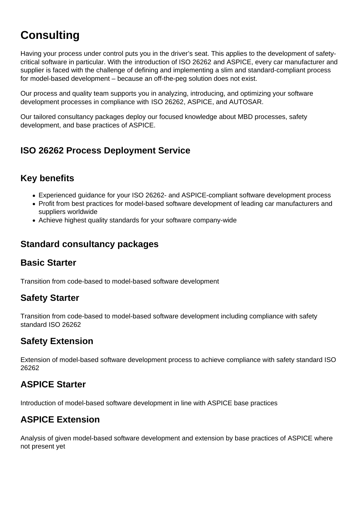# **Consulting**

Having your process under control puts you in the driver's seat. This applies to the development of safetycritical software in particular. With the [introduction of ISO 26262](https://model-engineers.com/en/academy/consulting/#iso-26262-deployment-process) and ASPICE, every car manufacturer and supplier is faced with the challenge of defining and implementing a slim and standard-compliant process for model-based development – because an off-the-peg solution does not exist.

Our process and quality team supports you in analyzing, introducing, and optimizing your software development processes in compliance with [ISO 26262,](https://model-engineers.com/en/iso-26262/) ASPICE, and AUTOSAR.

Our tailored consultancy packages deploy our focused knowledge about MBD processes, safety development, and base practices of ASPICE.

# ISO 26262 Process Deployment Service

# Key benefits

- Experienced guidance for your ISO 26262- and ASPICE-compliant software development process
- Profit from best practices for model-based software development of leading car manufacturers and suppliers worldwide
- Achieve highest quality standards for your software company-wide

#### Standard consultancy packages

#### Basic Starter

Transition from code-based to model-based software development

#### Safety Starter

Transition from code-based to model-based software development including compliance with safety standard ISO 26262

#### Safety Extension

Extension of model-based software development process to achieve compliance with safety standard ISO 26262

#### ASPICE Starter

Introduction of model-based software development in line with ASPICE base practices

## ASPICE Extension

Analysis of given model-based software development and extension by base practices of ASPICE where not present yet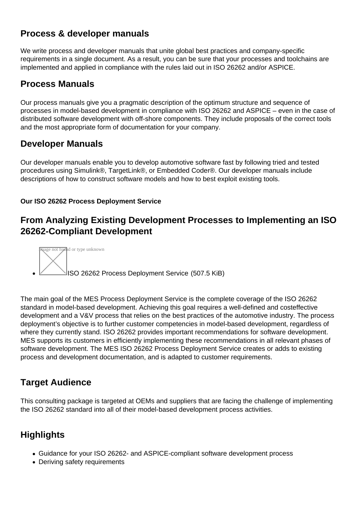# Process & developer manuals

We write process and developer manuals that unite global best practices and company-specific requirements in a single document. As a result, you can be sure that your processes and toolchains are implemented and applied in compliance with the rules laid out in ISO 26262 and/or ASPICE.

#### Process Manuals

Our process manuals give you a pragmatic description of the optimum structure and sequence of processes in model-based development in compliance with ISO 26262 and ASPICE – even in the case of distributed software development with off-shore components. They include proposals of the correct tools and the most appropriate form of documentation for your company.

## Developer Manuals

Our developer manuals enable you to develop automotive software fast by following tried and tested procedures using Simulink®, TargetLink®, or Embedded Coder®. Our developer manuals include descriptions of how to construct software models and how to best exploit existing tools.

Our ISO 26262 Process Deployment Service

# From Analyzing Existing Development Processes to Implementing an ISO 26262-Compliant Development



The main goal of the MES Process Deployment Service is the complete coverage of the ISO 26262 standard in model-based development. Achieving this goal requires a well-defined and costeffective development and a V&V process that relies on the best practices of the automotive industry. The process deployment's objective is to further customer competencies in model-based development, regardless of where they currently stand. ISO 26262 provides important recommendations for software development. MES supports its customers in efficiently implementing these recommendations in all relevant phases of software development. The MES ISO 26262 Process Deployment Service creates or adds to existing process and development documentation, and is adapted to customer requirements.

## Target Audience

This consulting package is targeted at OEMs and suppliers that are facing the challenge of implementing the ISO 26262 standard into all of their model-based development process activities.

## **Highlights**

- Guidance for your ISO 26262- and ASPICE-compliant software development process
- Deriving safety requirements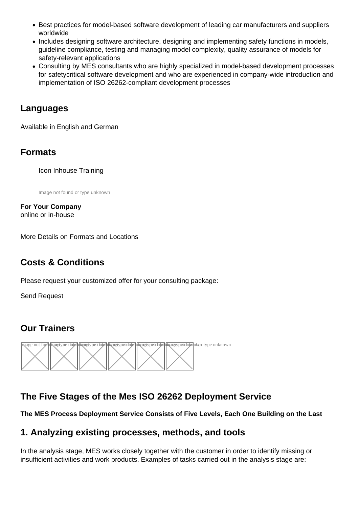- [Best practices for model-based software development of leading car manufacturers and suppl](https://model-engineers.com/en/tudoor-academy/trainers/)iers worldwide
- Includes designing software architecture, designing and implementing safety functions in models, guideline compliance, testing and managing model complexity, quality assurance of models for safety-relevant applications
- Consulting by MES consultants who are highly specialized in model-based development processes for safetycritical software development and who are experienced in company-wide introduction and implementation of ISO 26262-compliant development processes

#### Languages

Available in English and German

#### Formats

Icon Inhouse Training

Image not found or type unknown

For Your Company online or in-house

[More Details on Formats and Locations](https://model-engineers.com/en/tudoor-academy/locations/)

## Costs & Conditions

Please request your customized offer for your consulting package:

[Send Request](mailto:bjoern.kunze@model-engineers.com?subject=Specific training request | Online or on-site)

## Our Trainers



# The Five Stages of the Mes ISO 26262 Deployment Service

The MES Process Deployment Service Consists of Five Levels, Each One Building on the Last

#### 1. Analyzing existing processes, methods, and tools

In the analysis stage, MES works closely together with the customer in order to identify missing or insufficient activities and work products. Examples of tasks carried out in the analysis stage are: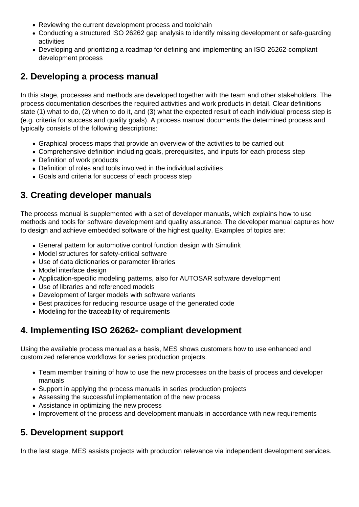- Reviewing the current development process and toolchain
- Conducting a structured ISO 26262 gap analysis to identify missing development or safe-guarding activities
- Developing and prioritizing a roadmap for defining and implementing an ISO 26262-compliant development process

# **2. Developing a process manual**

In this stage, processes and methods are developed together with the team and other stakeholders. The process documentation describes the required activities and work products in detail. Clear definitions state (1) what to do, (2) when to do it, and (3) what the expected result of each individual process step is (e.g. criteria for success and quality goals). A process manual documents the determined process and typically consists of the following descriptions:

- Graphical process maps that provide an overview of the activities to be carried out
- Comprehensive definition including goals, prerequisites, and inputs for each process step
- Definition of work products
- Definition of roles and tools involved in the individual activities
- Goals and criteria for success of each process step

# **3. Creating developer manuals**

The process manual is supplemented with a set of developer manuals, which explains how to use methods and tools for software development and quality assurance. The developer manual captures how to design and achieve embedded software of the highest quality. Examples of topics are:

- General pattern for automotive control function design with Simulink
- Model structures for safety-critical software
- Use of data dictionaries or parameter libraries
- Model interface design
- Application-specific modeling patterns, also for AUTOSAR software development
- Use of libraries and referenced models
- Development of larger models with software variants
- Best practices for reducing resource usage of the generated code
- Modeling for the traceability of requirements

## **4. Implementing ISO 26262- compliant development**

Using the available process manual as a basis, MES shows customers how to use enhanced and customized reference workflows for series production projects.

- Team member training of how to use the new processes on the basis of process and developer manuals
- Support in applying the process manuals in series production projects
- Assessing the successful implementation of the new process
- Assistance in optimizing the new process
- Improvement of the process and development manuals in accordance with new requirements

## **5. Development support**

In the last stage, MES assists projects with production relevance via independent development services.